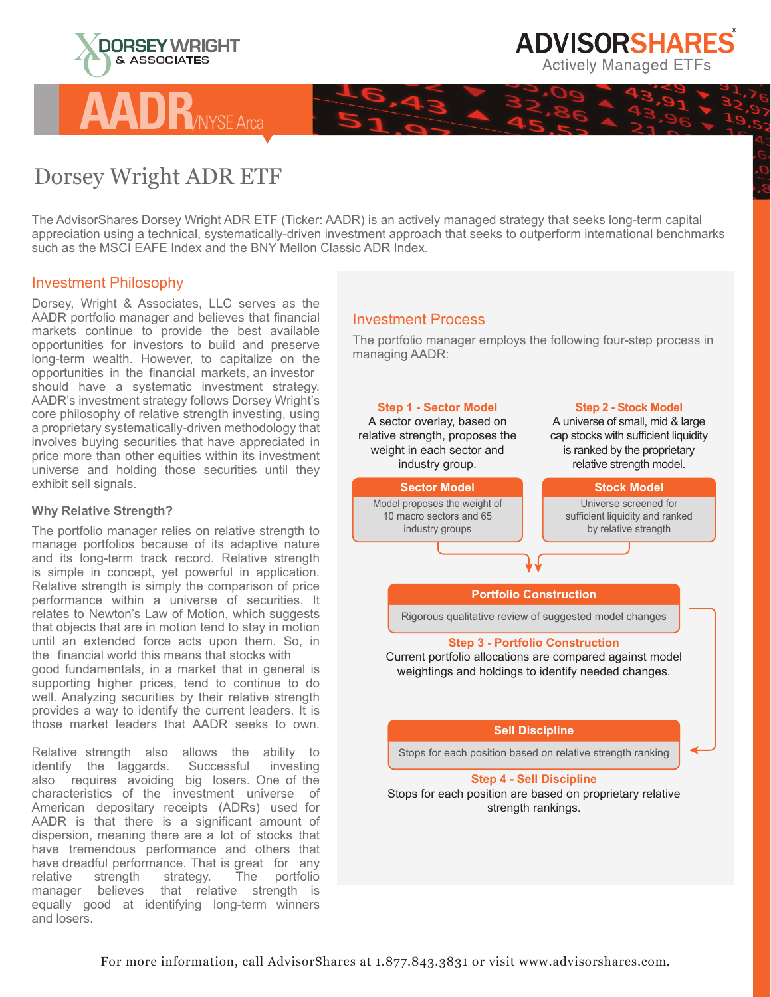



## Dorsey Wright ADR ETF

**AADR**/NYSE Arca

The AdvisorShares Dorsey Wright ADR ETF (Ticker: AADR) is an actively managed strategy that seeks long-term capital appreciation using a technical, systematically-driven investment approach that seeks to outperform international benchmarks such as the MSCI EAFE Index and the BNY Mellon Classic ADR Index.

## Investment Philosophy

Dorsey, Wright & Associates, LLC serves as the AADR portfolio manager and believes that financial markets continue to provide the best available opportunities for investors to build and preserve long-term wealth. However, to capitalize on the opportunities in the financial markets, an investor should have a systematic investment strategy. AADR's investment strategy follows Dorsey Wright's core philosophy of relative strength investing, using a proprietary systematically-driven methodology that involves buying securities that have appreciated in price more than other equities within its investment universe and holding those securities until they exhibit sell signals.

## **Why Relative Strength?**

The portfolio manager relies on relative strength to manage portfolios because of its adaptive nature and its long-term track record. Relative strength is simple in concept, yet powerful in application. Relative strength is simply the comparison of price performance within a universe of securities. It relates to Newton's Law of Motion, which suggests that objects that are in motion tend to stay in motion until an extended force acts upon them. So, in the financial world this means that stocks with good fundamentals, in a market that in general is supporting higher prices, tend to continue to do well. Analyzing securities by their relative strength provides a way to identify the current leaders. It is those market leaders that AADR seeks to own.

Relative strength also allows the ability to identify the laggards. Successful investing also requires avoiding big losers. One of the characteristics of the investment universe of American depositary receipts (ADRs) used for AADR is that there is a significant amount of dispersion, meaning there are a lot of stocks that have tremendous performance and others that have dreadful performance. That is great for any relative strength strategy. The portfolio relative strength strategy. The portfolio manager believes that relative strength is equally good at identifying long-term winners and losers.

## Investment Process

The portfolio manager employs the following four-step process in managing AADR: